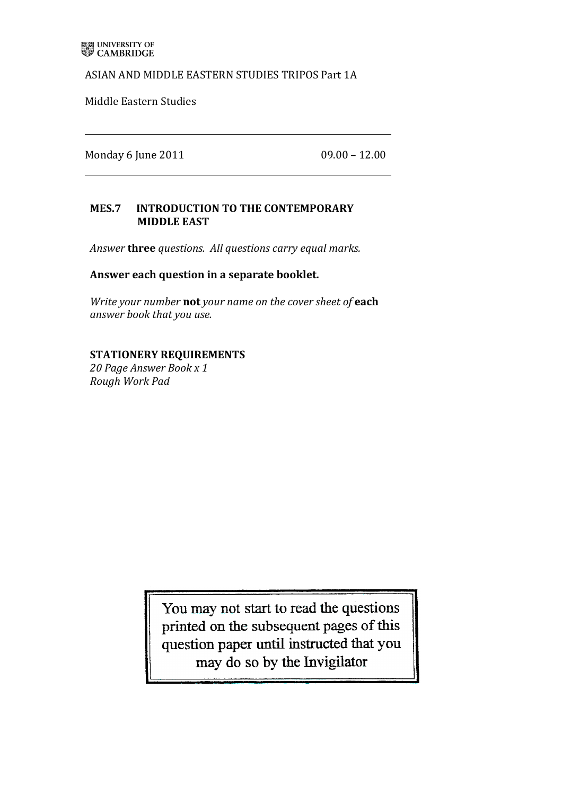## ASIAN AND MIDDLE EASTERN STUDIES TRIPOS Part 1A

Middle Eastern Studies

Monday%6 June%2011% %%%%%%%%%%%%%%%%%%%%%%%%%%%%%%%%%%%%%%%%09.00%– 12.00

# MES.7 INTRODUCTION TO THE CONTEMPORARY **MIDDLE EAST**

Answer **three** questions. All questions carry equal marks.

### Answer each question in a separate booklet.

*Write your number* not your name on the cover sheet of each *answer'book that'you'use.*

### **STATIONERY REQUIREMENTS**

*20'Page'Answer'Book'x'1 Rough'Work'Pad*

> You may not start to read the questions printed on the subsequent pages of this question paper until instructed that you may do so by the Invigilator